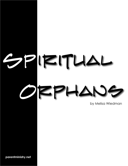# PIRITUAL HA  $\overline{\phantom{m}}$

by Melisa Wiedman

parentministry.net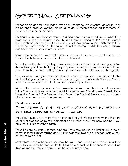# Spiritual Orphans

Teenagers are an easily identifiable--yet difficult to define--group of pseudo-adults. They are no longer children, yet they are not quite adults. Much is expected from them, yet not much is expected of them.

For about a decade, they are striving to define who they are as individuals, what they believe in, where they belong in society, what they are going to do "when they grow up," which friends they should be making, what they should wear, which topics they should focus on in school, and so on. And all of this is going on while their bodies, brains, and hormones are shifting into overdrive!

Some seem to handle it with all the grace and ease of a dancer, while others seem to handle it with the grace and ease of a mountain troll.

To add to the fun, they begin to pull away from their families and start seeking to define themselves apart from the family. They may even attempt to completely isolate themselves from their families--cutting them off physically, emotionally, and psychologically.

The kids in our youth groups are no different. In fact, in their case, you can add to the mix their trying to determine if the faith they have grown up in is really "their own" or if it is their mom and dad's faith that has been pressed upon them.

Now add to that group an emerging generation of teenagers that have not grown up in the Church and have no sense of what it means to be a Christ-follower. These kids are invited to "Emerge," "The Basement," or "Power Hour" by their friends, with no concept of what to expect or what is expected of them.

We all know these kids.

#### THEY COME TO OUR GROUP HUNGRY FOR SOMETHING BUT ARE UNSURE OF WHAT THAT IS.

They don't quite know where they fit or even if they fit into our environment. They are usually just dropped off by their parents or come with friends. And more than likely, you have never even met their parents.

These kids are essentially spiritual orphans. There may not be a Christian influence at home, so these kids are missing godly influence in their lives and are hungry for it, whether they know it or not.

Spiritual orphans are the skittish, shy ones that you spend months trying to pull out of their shells; they are also the loudmouths that are there every time the doors are open. One thing is absolutely certain about all of them: they are *hungry*.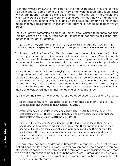I consider myself somewhat of an expert on the matter, because I was one of these spiritual orphans. I came from a Christian home that went through some tough times (which can happen when you blend two families). We grew up in the Church, and when we were old enough, we went to youth group. Without knowing it at the time, I was searching for a place where I fit and where I could be something other than a member of my peculiar family. Thankfully, that "elsewhere" turned out to be my youth group. 

There was always something going on at Church, and I wanted to be there because I did not want to be at home. And I definitely fit into that second type of kid: the loudmouth that was always around.

#### It was at youth group that I found acceptance, peace, fun, and a very different type of love than the love of my family.

This love came in the form of families that welcomed me into their lives, not just their homes. I got to be a part of their everyday lives and see how very differently people lived from my family. These families were pivotal in teaching me about the Bible, how to have healthy relationships between siblings, how to stand up for what you believe in, and that being a Christian did not necessarily mean that you were a nerd.

Please do not hear what I am not saying. My parents were not bad parents, and my siblings were not bad people. But as the middle child, I felt lost in the shuffle of my brothers and sisters. So much was going on at home with our blended family, that I did not know where I fit. But for a time, my adoptive families were where I fit. In a manner of speaking, they were my spiritual foster parents. In no way did they replace my parents, and in no way did they even try to replace them. They simply chose to invest in my life and welcomed me into theirs for as long as I would let them.

By living out the Bible to me, they demonstrated obedience to God and to His Word.

In the book of James, we are exhorted to "do what [the Word] says" and to "look after orphans and widows in their distress" (James 1).

Jesus' own heart for children was apparent when He said to His disciples, "Whoever welcomes one of these little children in my name welcomes me," and "Let the little children come to me" (Matthew 9:37, 10:14).

In the Old Testament, Moses admonished the Israelites to teach their children about God as they were living out their lives: "Fix these words of mine in your hearts and minds; tie them as symbols on your hands and bind them on your foreheads. Teach them to your children, talking about them when you sit at home and when you walk along the road, when you lie down and when you get up" (Deuteronomy 11:18–19).

Orphans were specifically addressed in Israelite law so that they would not be overlooked. Because--let's face it--it is easy to overlook someone who is not in our immediate sphere of concern. If they are not in the forefront of our conscious thought, then we do not even consider them. But this is the point Moses, James, and Jesus were trying to make! The orphans in our midst are just as important as the rest of our "kids." In some cases, probably more so.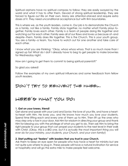Spiritual orphans have no spiritual compass to follow; they are easily swayed by the world and what it has to offer them. Devoid of strong spiritual leadership, they are forced to figure out life on their own. Many are attention-starved and require extra doses of it. They need unconditional acceptance but with firm boundaries.

This is where we, as the youth leaders, come in. Our job is to demonstrate the Church as a family, not like a family. Family sticks together, no matter what! Family plays together. Family loves each other. Family is a team of people doing life together and watching out for each other. Family sees all of our flaws and loves us because of--and despite--them. Family does life together. This is the Church. This is your youth group. You are a family--a team. You have to watch out for one another and take care of each other. 

I know what you are thinking: "Okay, whoa whoa whoa. That is so much more than I signed up for! What do I do? I already have to beg to get people to make brownies for Wednesday night.

How am I going to get them to commit to being spiritual parents?!"

So glad you asked!

Follow the examples of my own spiritual influences and some feedback from fellow youth leaders. 

### Don't try to reinvent the wheel.

### Here's what you do:

#### **1. Get on your knees, friend!**

Get alone and speak with your Lord and Savior, the love of your life, and have a heartto-heart with Him. He loves you, and He knows how much you love your students. Spend time lifting each and every one of them up to Him. Then lift up the ones who may step only a toe in your door. Ask Him for wisdom in directing your group and thank Him for blessing you with the privilege of what you get to do. Then ask Him to bring the right people to your group that can propel your students to the next level in their walk with Christ. *(Okay, this is a BIG one, but it is actually the most important thing you will ever do for your ministry, your students, your Church, and your own family!)* 

#### **2. Start putting out "feelers" with leaders that you trust in your Church.**

Ask them to keep an eye open for people who truly have a heart for ministry but are not quite sure where to plug in. These people will have a natural inclination for service or hospitality and will go the extra mile to make people feel welcome.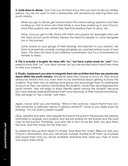**3. Invite them to dinner.** Don't be coy; let them know that you want to discuss ministry options. You do not want to start a relationship with someone by ninja-ing them into youth ministry.

When you get to dinner, get to know them! This means asking questions and then shutting up. Get to know who their family is, how they ended up in your Church, what their passions are, where they feel God leading them to serve, etc.

Okay, now you get to talk. Share with them your passion for teenagers and cast the vision of your youth ministry. Express the need for people to come alongside you in the journey!

Lastly, based on your gauge of their leanings and reaction to your passion, ask them to prayerfully consider coming alongside you and becoming a part of your team. This does not have to be a lifetime commitment, but it is a commitment to minister to teens.

**4. This is actually a toughie: Be okay with "no," but have a plan ready for "yes!"** They need to know that "no" is an okay answer, but you are excited about what they have to offer your students.

**5. Finally, implement your plan to integrate them into activities that they are passionate about within the youth ministry.** Whatever area they choose to focus on, they should always be mindful that you want them to be intentional about getting to know the students. Plug them into an existing small group and encourage them to participate as much as they can without dominating the students. Once they are integrated into youth ministry, they will begin to easily identify needs among the students. Because you have already prepared/trained them (and because of their natural inclinations), they will begin to "be a family" with them.

Again, I know what you are thinking: "What in the world do I teach them? How do I train someone to spiritually mentor a spiritual orphan?!" Some of you might even be thinking, "I'm not even a parent myself!"

Okay, breathe and relax. Most people that reach this point in the process are already motivated to engage your students and are just looking for the license and the road map for the journey. Thankfully, your only role in this is to be like AAA: you give them the tools, and they make the trip their own.

So where do they go from here? It's simple. Give them this "map" (filled out with your Church's information) and your cell phone number. Promise to lift them up in prayer and assure them that you will be available whenever they need you. Then sit back and watch them shine!